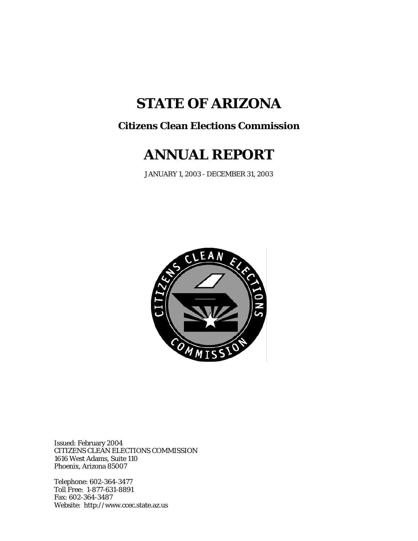# **STATE OF ARIZONA**

# **Citizens Clean Elections Commission**

# **ANNUAL REPORT**

JANUARY 1, 2003 - DECEMBER 31, 2003



Issued: February 2004 CITIZENS CLEAN ELECTIONS COMMISSION 1616 West Adams, Suite 110 Phoenix, Arizona 85007

Telephone: 602-364-3477 Toll Free: 1-877-631-8891 Fax: 602-364-3487 Website: http://www.ccec.state.az.us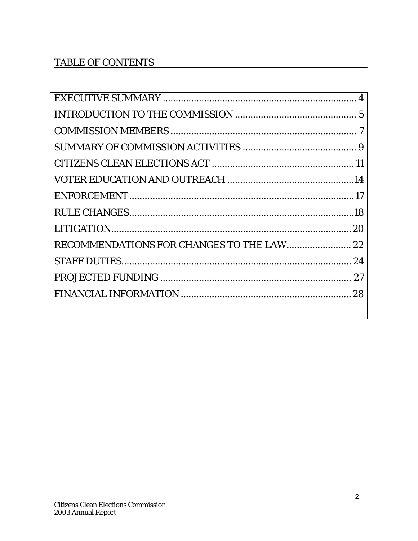# **TABLE OF CONTENTS**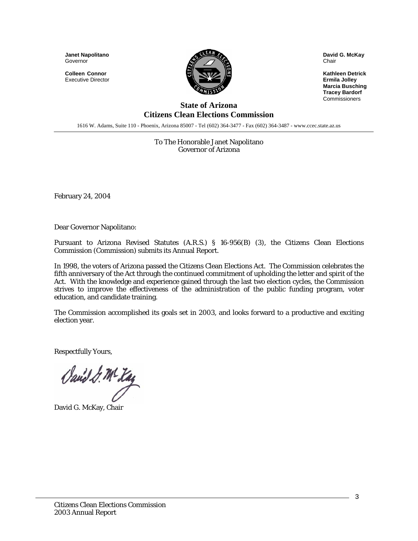**Janet Napolitano**  Governor

**Colleen Connor** Executive Director



**David G. McKay** Chair

**Kathleen Detrick Ermila Jolley Marcia Busching Tracey Bardorf Commissioners** 

#### **State of Arizona Citizens Clean Elections Commission**

1616 W. Adams, Suite 110 - Phoenix, Arizona 85007 - Tel (602) 364-3477 - Fax (602) 364-3487 - www.ccec.state.az.us

To The Honorable Janet Napolitano Governor of Arizona

February 24, 2004

Dear Governor Napolitano:

Pursuant to Arizona Revised Statutes (A.R.S.) § 16-956(B) (3), the Citizens Clean Elections Commission (Commission) submits its Annual Report.

In 1998, the voters of Arizona passed the Citizens Clean Elections Act. The Commission celebrates the fifth anniversary of the Act through the continued commitment of upholding the letter and spirit of the Act. With the knowledge and experience gained through the last two election cycles, the Commission strives to improve the effectiveness of the administration of the public funding program, voter education, and candidate training.

The Commission accomplished its goals set in 2003, and looks forward to a productive and exciting election year.

Respectfully Yours,

Sand & M- Kaz

David G. McKay, Chair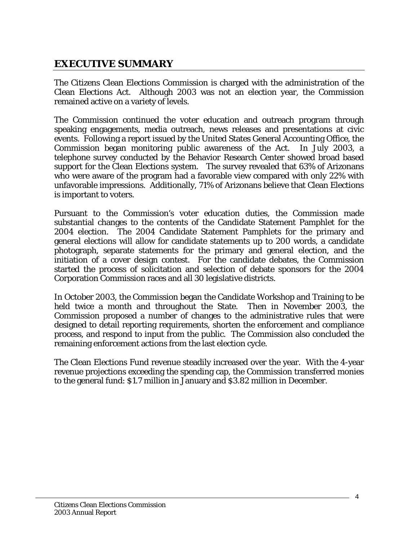# <span id="page-3-0"></span>**EXECUTIVE SUMMARY**

The Citizens Clean Elections Commission is charged with the administration of the Clean Elections Act. Although 2003 was not an election year, the Commission remained active on a variety of levels.

The Commission continued the voter education and outreach program through speaking engagements, media outreach, news releases and presentations at civic events. Following a report issued by the United States General Accounting Office, the Commission began monitoring public awareness of the Act. In July 2003, a telephone survey conducted by the Behavior Research Center showed broad based support for the Clean Elections system. The survey revealed that 63% of Arizonans who were aware of the program had a favorable view compared with only 22% with unfavorable impressions. Additionally, 71% of Arizonans believe that Clean Elections is important to voters.

Pursuant to the Commission's voter education duties, the Commission made substantial changes to the contents of the Candidate Statement Pamphlet for the 2004 election. The 2004 Candidate Statement Pamphlets for the primary and general elections will allow for candidate statements up to 200 words, a candidate photograph, separate statements for the primary and general election, and the initiation of a cover design contest. For the candidate debates, the Commission started the process of solicitation and selection of debate sponsors for the 2004 Corporation Commission races and all 30 legislative districts.

In October 2003, the Commission began the Candidate Workshop and Training to be held twice a month and throughout the State. Then in November 2003, the Commission proposed a number of changes to the administrative rules that were designed to detail reporting requirements, shorten the enforcement and compliance process, and respond to input from the public. The Commission also concluded the remaining enforcement actions from the last election cycle.

The Clean Elections Fund revenue steadily increased over the year. With the 4-year revenue projections exceeding the spending cap, the Commission transferred monies to the general fund: \$1.7 million in January and \$3.82 million in December.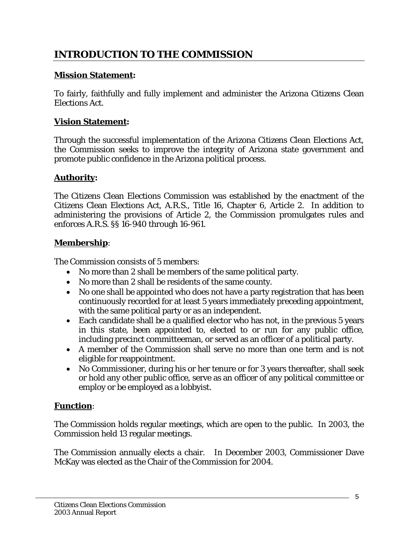# <span id="page-4-0"></span>**INTRODUCTION TO THE COMMISSION**

#### **Mission Statement:**

To fairly, faithfully and fully implement and administer the Arizona Citizens Clean Elections Act.

#### **Vision Statement:**

Through the successful implementation of the Arizona Citizens Clean Elections Act, the Commission seeks to improve the integrity of Arizona state government and promote public confidence in the Arizona political process.

### **Authority:**

The Citizens Clean Elections Commission was established by the enactment of the Citizens Clean Elections Act, A.R.S., Title 16, Chapter 6, Article 2. In addition to administering the provisions of Article 2, the Commission promulgates rules and enforces A.R.S. §§ 16-940 through 16-961.

#### **Membership**:

The Commission consists of 5 members:

- No more than 2 shall be members of the same political party.
- No more than 2 shall be residents of the same county.
- No one shall be appointed who does not have a party registration that has been continuously recorded for at least 5 years immediately preceding appointment, with the same political party or as an independent.
- Each candidate shall be a qualified elector who has not, in the previous 5 years in this state, been appointed to, elected to or run for any public office, including precinct committeeman, or served as an officer of a political party.
- A member of the Commission shall serve no more than one term and is not eligible for reappointment.
- No Commissioner, during his or her tenure or for 3 years thereafter, shall seek or hold any other public office, serve as an officer of any political committee or employ or be employed as a lobbyist.

#### **Function**:

The Commission holds regular meetings, which are open to the public. In 2003, the Commission held 13 regular meetings.

The Commission annually elects a chair. In December 2003, Commissioner Dave McKay was elected as the Chair of the Commission for 2004.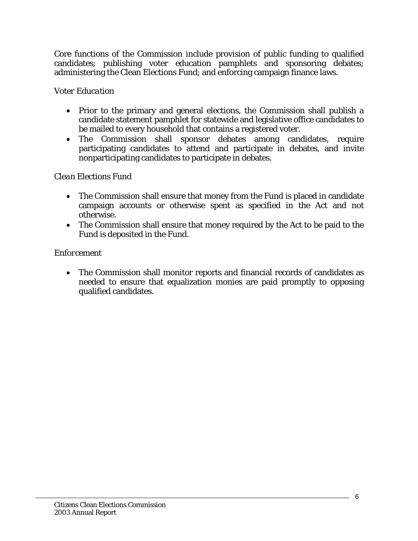Core functions of the Commission include provision of public funding to qualified candidates; publishing voter education pamphlets and sponsoring debates; administering the Clean Elections Fund; and enforcing campaign finance laws.

## *Voter Education*

- Prior to the primary and general elections, the Commission shall publish a candidate statement pamphlet for statewide and legislative office candidates to be mailed to every household that contains a registered voter.
- The Commission shall sponsor debates among candidates, require participating candidates to attend and participate in debates, and invite nonparticipating candidates to participate in debates.

## *Clean Elections Fund*

- The Commission shall ensure that money from the Fund is placed in candidate campaign accounts or otherwise spent as specified in the Act and not otherwise.
- The Commission shall ensure that money required by the Act to be paid to the Fund is deposited in the Fund.

### *Enforcement*

• The Commission shall monitor reports and financial records of candidates as needed to ensure that equalization monies are paid promptly to opposing qualified candidates.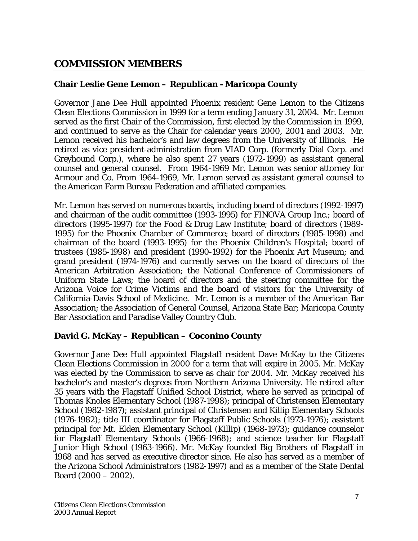## <span id="page-6-0"></span>**COMMISSION MEMBERS**

## **Chair Leslie Gene Lemon – Republican - Maricopa County**

Governor Jane Dee Hull appointed Phoenix resident Gene Lemon to the Citizens Clean Elections Commission in 1999 for a term ending January 31, 2004. Mr. Lemon served as the first Chair of the Commission, first elected by the Commission in 1999, and continued to serve as the Chair for calendar years 2000, 2001 and 2003. Mr. Lemon received his bachelor's and law degrees from the University of Illinois. He retired as vice president-administration from VIAD Corp. (formerly Dial Corp. and Greyhound Corp.), where he also spent 27 years (1972-1999) as assistant general counsel and general counsel. From 1964-1969 Mr. Lemon was senior attorney for Armour and Co. From 1964-1969, Mr. Lemon served as assistant general counsel to the American Farm Bureau Federation and affiliated companies.

Mr. Lemon has served on numerous boards, including board of directors (1992-1997) and chairman of the audit committee (1993-1995) for FINOVA Group Inc.; board of directors (1995-1997) for the Food & Drug Law Institute; board of directors (1989- 1995) for the Phoenix Chamber of Commerce; board of directors (1985-1998) and chairman of the board (1993-1995) for the Phoenix Children's Hospital; board of trustees (1985-1998) and president (1990-1992) for the Phoenix Art Museum; and grand president (1974-1976) and currently serves on the board of directors of the American Arbitration Association; the National Conference of Commissioners of Uniform State Laws; the board of directors and the steering committee for the Arizona Voice for Crime Victims and the board of visitors for the University of California-Davis School of Medicine. Mr. Lemon is a member of the American Bar Association; the Association of General Counsel, Arizona State Bar; Maricopa County Bar Association and Paradise Valley Country Club.

### **David G. McKay – Republican – Coconino County**

Governor Jane Dee Hull appointed Flagstaff resident Dave McKay to the Citizens Clean Elections Commission in 2000 for a term that will expire in 2005. Mr. McKay was elected by the Commission to serve as chair for 2004. Mr. McKay received his bachelor's and master's degrees from Northern Arizona University. He retired after 35 years with the Flagstaff Unified School District, where he served as principal of Thomas Knoles Elementary School (1987-1998); principal of Christensen Elementary School (1982-1987); assistant principal of Christensen and Killip Elementary Schools (1976-1982); title III coordinator for Flagstaff Public Schools (1973-1976); assistant principal for Mt. Elden Elementary School (Killip) (1968-1973); guidance counselor for Flagstaff Elementary Schools (1966-1968); and science teacher for Flagstaff Junior High School (1963-1966). Mr. McKay founded Big Brothers of Flagstaff in 1968 and has served as executive director since. He also has served as a member of the Arizona School Administrators (1982-1997) and as a member of the State Dental Board (2000 – 2002).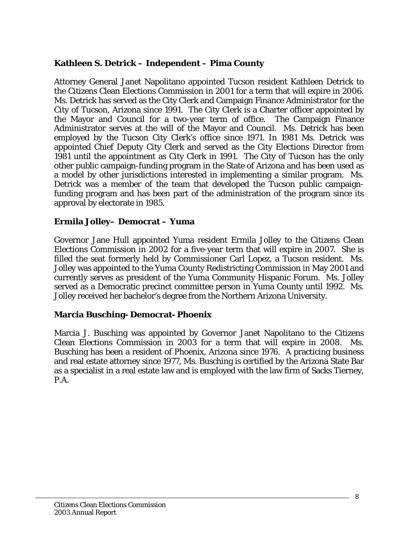#### **Kathleen S. Detrick – Independent – Pima County**

Attorney General Janet Napolitano appointed Tucson resident Kathleen Detrick to the Citizens Clean Elections Commission in 2001 for a term that will expire in 2006. Ms. Detrick has served as the City Clerk and Campaign Finance Administrator for the City of Tucson, Arizona since 1991. The City Clerk is a Charter officer appointed by the Mayor and Council for a two-year term of office. The Campaign Finance Administrator serves at the will of the Mayor and Council. Ms. Detrick has been employed by the Tucson City Clerk's office since 1971. In 1981 Ms. Detrick was appointed Chief Deputy City Clerk and served as the City Elections Director from 1981 until the appointment as City Clerk in 1991. The City of Tucson has the only other public campaign-funding program in the State of Arizona and has been used as a model by other jurisdictions interested in implementing a similar program. Ms. Detrick was a member of the team that developed the Tucson public campaignfunding program and has been part of the administration of the program since its approval by electorate in 1985.

#### **Ermila Jolley– Democrat – Yuma**

Governor Jane Hull appointed Yuma resident Ermila Jolley to the Citizens Clean Elections Commission in 2002 for a five-year term that will expire in 2007. She is filled the seat formerly held by Commissioner Carl Lopez, a Tucson resident. Ms. Jolley was appointed to the Yuma County Redistricting Commission in May 2001 and currently serves as president of the Yuma Community Hispanic Forum. Ms. Jolley served as a Democratic precinct committee person in Yuma County until 1992. Ms. Jolley received her bachelor's degree from the Northern Arizona University.

### **Marcia Busching- Democrat- Phoenix**

Marcia J. Busching was appointed by Governor Janet Napolitano to the Citizens Clean Elections Commission in 2003 for a term that will expire in 2008. Ms. Busching has been a resident of Phoenix, Arizona since 1976. A practicing business and real estate attorney since 1977, Ms. Busching is certified by the Arizona State Bar as a specialist in a real estate law and is employed with the law firm of Sacks Tierney, P.A.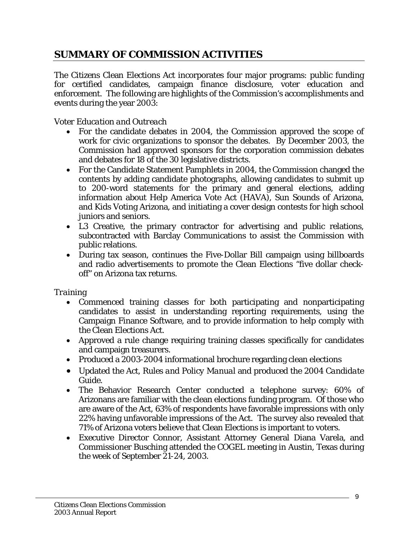# <span id="page-8-0"></span>**SUMMARY OF COMMISSION ACTIVITIES**

The Citizens Clean Elections Act incorporates four major programs: public funding for certified candidates, campaign finance disclosure, voter education and enforcement. The following are highlights of the Commission's accomplishments and events during the year 2003:

## *Voter Education and Outreach*

- For the candidate debates in 2004, the Commission approved the scope of work for civic organizations to sponsor the debates. By December 2003, the Commission had approved sponsors for the corporation commission debates and debates for 18 of the 30 legislative districts.
- For the Candidate Statement Pamphlets in 2004, the Commission changed the contents by adding candidate photographs, allowing candidates to submit up to 200-word statements for the primary and general elections, adding information about Help America Vote Act (HAVA), Sun Sounds of Arizona, and Kids Voting Arizona, and initiating a cover design contests for high school juniors and seniors.
- L3 Creative, the primary contractor for advertising and public relations, subcontracted with Barclay Communications to assist the Commission with public relations.
- During tax season, continues the Five-Dollar Bill campaign using billboards and radio advertisements to promote the Clean Elections "five dollar checkoff" on Arizona tax returns.

### *Training*

- Commenced training classes for both participating and nonparticipating candidates to assist in understanding reporting requirements, using the Campaign Finance Software, and to provide information to help comply with the Clean Elections Act.
- Approved a rule change requiring training classes specifically for candidates and campaign treasurers.
- Produced a 2003-2004 informational brochure regarding clean elections
- Updated the *Act, Rules and Policy Manual* and produced the *2004 Candidate Guide.*
- The Behavior Research Center conducted a telephone survey: 60% of Arizonans are familiar with the clean elections funding program. Of those who are aware of the Act, 63% of respondents have favorable impressions with only 22% having unfavorable impressions of the Act. The survey also revealed that 71% of Arizona voters believe that Clean Elections is important to voters.
- Executive Director Connor, Assistant Attorney General Diana Varela, and Commissioner Busching attended the COGEL meeting in Austin, Texas during the week of September 21-24, 2003.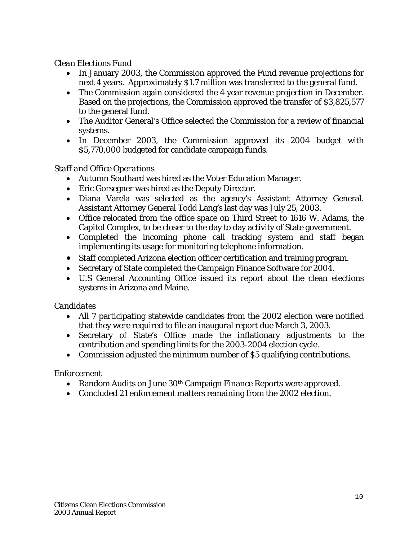#### *Clean Elections Fund*

- In January 2003, the Commission approved the Fund revenue projections for next 4 years. Approximately \$1.7 million was transferred to the general fund.
- The Commission again considered the 4 year revenue projection in December. Based on the projections, the Commission approved the transfer of \$3,825,577 to the general fund.
- The Auditor General's Office selected the Commission for a review of financial systems.
- In December 2003, the Commission approved its 2004 budget with \$5,770,000 budgeted for candidate campaign funds.

### *Staff and Office Operations*

- Autumn Southard was hired as the Voter Education Manager.
- Eric Gorsegner was hired as the Deputy Director.
- Diana Varela was selected as the agency's Assistant Attorney General. Assistant Attorney General Todd Lang's last day was July 25, 2003.
- Office relocated from the office space on Third Street to 1616 W. Adams, the Capitol Complex, to be closer to the day to day activity of State government.
- Completed the incoming phone call tracking system and staff began implementing its usage for monitoring telephone information.
- Staff completed Arizona election officer certification and training program.
- Secretary of State completed the Campaign Finance Software for 2004.
- U.S General Accounting Office issued its report about the clean elections systems in Arizona and Maine.

### *Candidates*

- All 7 participating statewide candidates from the 2002 election were notified that they were required to file an inaugural report due March 3, 2003.
- Secretary of State's Office made the inflationary adjustments to the contribution and spending limits for the 2003-2004 election cycle.
- Commission adjusted the minimum number of \$5 qualifying contributions.

### *Enforcement*

- Random Audits on June 30<sup>th</sup> Campaign Finance Reports were approved.
- Concluded 21 enforcement matters remaining from the 2002 election.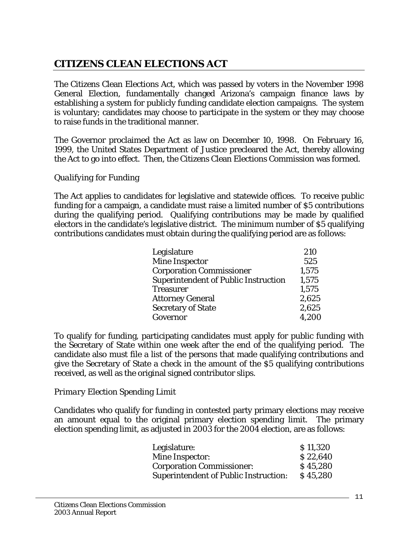# <span id="page-10-0"></span>**CITIZENS CLEAN ELECTIONS ACT**

The Citizens Clean Elections Act, which was passed by voters in the November 1998 General Election, fundamentally changed Arizona's campaign finance laws by establishing a system for publicly funding candidate election campaigns. The system is voluntary; candidates may choose to participate in the system or they may choose to raise funds in the traditional manner.

The Governor proclaimed the Act as law on December 10, 1998. On February 16, 1999, the United States Department of Justice precleared the Act, thereby allowing the Act to go into effect. Then, the Citizens Clean Elections Commission was formed.

#### *Qualifying for Funding*

The Act applies to candidates for legislative and statewide offices. To receive public funding for a campaign, a candidate must raise a limited number of \$5 contributions during the qualifying period. Qualifying contributions may be made by qualified electors in the candidate's legislative district. The minimum number of \$5 qualifying contributions candidates must obtain during the qualifying period are as follows:

| Legislature                                 | 210   |
|---------------------------------------------|-------|
| <b>Mine Inspector</b>                       | 525   |
| <b>Corporation Commissioner</b>             | 1,575 |
| <b>Superintendent of Public Instruction</b> | 1,575 |
| <b>Treasurer</b>                            | 1,575 |
| <b>Attorney General</b>                     | 2,625 |
| <b>Secretary of State</b>                   | 2,625 |
| Governor                                    | 4,200 |

To qualify for funding, participating candidates must apply for public funding with the Secretary of State within one week after the end of the qualifying period. The candidate also must file a list of the persons that made qualifying contributions and give the Secretary of State a check in the amount of the \$5 qualifying contributions received, as well as the original signed contributor slips.

### *Primary Election Spending Limit*

Candidates who qualify for funding in contested party primary elections may receive an amount equal to the original primary election spending limit. The primary election spending limit, as adjusted in 2003 for the 2004 election, are as follows:

| Legislature:                                 | \$11,320 |
|----------------------------------------------|----------|
| Mine Inspector:                              | \$22,640 |
| <b>Corporation Commissioner:</b>             | \$45,280 |
| <b>Superintendent of Public Instruction:</b> | \$45,280 |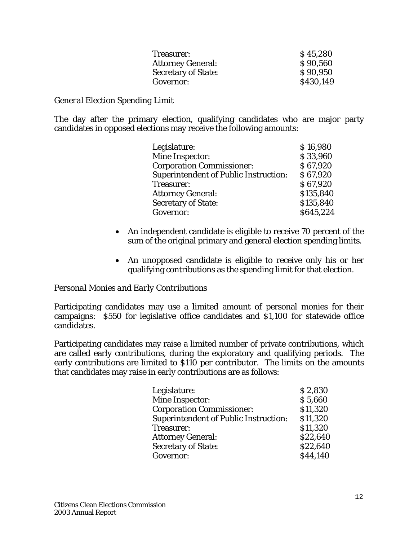| Treasurer:                 | \$45,280  |
|----------------------------|-----------|
| <b>Attorney General:</b>   | \$90,560  |
| <b>Secretary of State:</b> | \$90,950  |
| Governor:                  | \$430,149 |

#### *General Election Spending Limit*

The day after the primary election, qualifying candidates who are major party candidates in opposed elections may receive the following amounts:

| Legislature:                                 | \$16,980  |
|----------------------------------------------|-----------|
| Mine Inspector:                              | \$33,960  |
| <b>Corporation Commissioner:</b>             | \$67,920  |
| <b>Superintendent of Public Instruction:</b> | \$67,920  |
| Treasurer:                                   | \$67,920  |
| <b>Attorney General:</b>                     | \$135,840 |
| <b>Secretary of State:</b>                   | \$135,840 |
| Governor:                                    | \$645,224 |

- An independent candidate is eligible to receive 70 percent of the sum of the original primary and general election spending limits.
- An unopposed candidate is eligible to receive only his or her qualifying contributions as the spending limit for that election.

#### *Personal Monies and Early Contributions*

Participating candidates may use a limited amount of personal monies for their campaigns: \$550 for legislative office candidates and \$1,100 for statewide office candidates.

Participating candidates may raise a limited number of private contributions, which are called early contributions, during the exploratory and qualifying periods. The early contributions are limited to \$110 per contributor. The limits on the amounts that candidates may raise in early contributions are as follows:

| Legislature:                                 | \$2,830  |
|----------------------------------------------|----------|
| <b>Mine Inspector:</b>                       | \$5,660  |
| <b>Corporation Commissioner:</b>             | \$11,320 |
| <b>Superintendent of Public Instruction:</b> | \$11,320 |
| Treasurer:                                   | \$11,320 |
| <b>Attorney General:</b>                     | \$22,640 |
| <b>Secretary of State:</b>                   | \$22,640 |
| Governor:                                    | \$44,140 |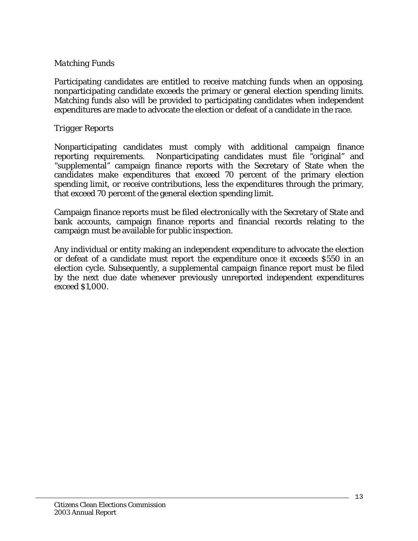#### *Matching Funds*

Participating candidates are entitled to receive matching funds when an opposing, nonparticipating candidate exceeds the primary or general election spending limits. Matching funds also will be provided to participating candidates when independent expenditures are made to advocate the election or defeat of a candidate in the race.

#### *Trigger Reports*

Nonparticipating candidates must comply with additional campaign finance reporting requirements. Nonparticipating candidates must file "original" and "supplemental" campaign finance reports with the Secretary of State when the candidates make expenditures that exceed 70 percent of the primary election spending limit, or receive contributions, less the expenditures through the primary, that exceed 70 percent of the general election spending limit.

Campaign finance reports must be filed electronically with the Secretary of State and bank accounts, campaign finance reports and financial records relating to the campaign must be available for public inspection.

Any individual or entity making an independent expenditure to advocate the election or defeat of a candidate must report the expenditure once it exceeds \$550 in an election cycle. Subsequently, a supplemental campaign finance report must be filed by the next due date whenever previously unreported independent expenditures exceed \$1,000.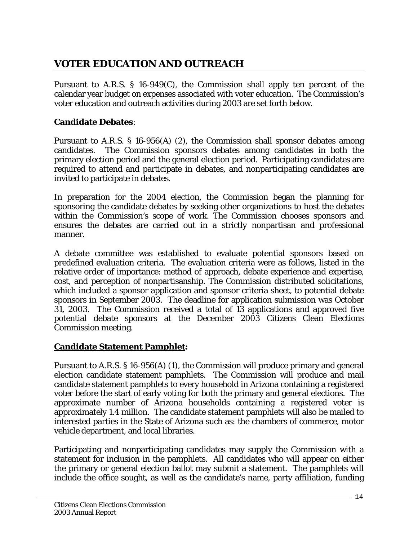# <span id="page-13-0"></span>**VOTER EDUCATION AND OUTREACH**

Pursuant to A.R.S. § 16-949(C), the Commission shall apply ten percent of the calendar year budget on expenses associated with voter education. The Commission's voter education and outreach activities during 2003 are set forth below.

### **Candidate Debates**:

Pursuant to A.R.S. § 16-956(A) (2), the Commission shall sponsor debates among candidates. The Commission sponsors debates among candidates in both the primary election period and the general election period. Participating candidates are required to attend and participate in debates, and nonparticipating candidates are invited to participate in debates.

In preparation for the 2004 election, the Commission began the planning for sponsoring the candidate debates by seeking other organizations to host the debates within the Commission's scope of work. The Commission chooses sponsors and ensures the debates are carried out in a strictly nonpartisan and professional manner.

A debate committee was established to evaluate potential sponsors based on predefined evaluation criteria. The evaluation criteria were as follows, listed in the relative order of importance: method of approach, debate experience and expertise, cost, and perception of nonpartisanship. The Commission distributed solicitations, which included a sponsor application and sponsor criteria sheet, to potential debate sponsors in September 2003. The deadline for application submission was October 31, 2003. The Commission received a total of 13 applications and approved five potential debate sponsors at the December 2003 Citizens Clean Elections Commission meeting.

### **Candidate Statement Pamphlet:**

Pursuant to A.R.S. § 16-956(A) (1), the Commission will produce primary and general election candidate statement pamphlets. The Commission will produce and mail candidate statement pamphlets to every household in Arizona containing a registered voter before the start of early voting for both the primary and general elections. The approximate number of Arizona households containing a registered voter is approximately 1.4 million. The candidate statement pamphlets will also be mailed to interested parties in the State of Arizona such as: the chambers of commerce, motor vehicle department, and local libraries.

Participating and nonparticipating candidates may supply the Commission with a statement for inclusion in the pamphlets. All candidates who will appear on either the primary or general election ballot may submit a statement. The pamphlets will include the office sought, as well as the candidate's name, party affiliation, funding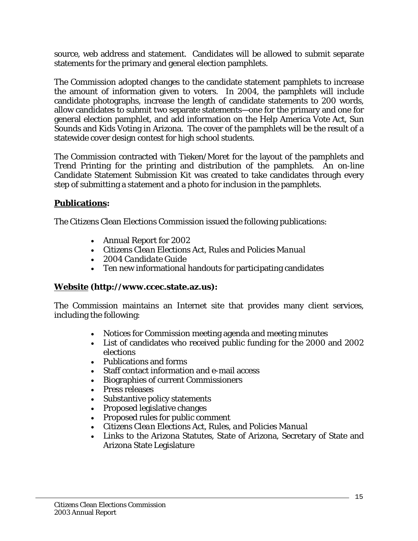source, web address and statement. Candidates will be allowed to submit separate statements for the primary and general election pamphlets.

The Commission adopted changes to the candidate statement pamphlets to increase the amount of information given to voters. In 2004, the pamphlets will include candidate photographs, increase the length of candidate statements to 200 words, allow candidates to submit two separate statements—one for the primary and one for general election pamphlet, and add information on the Help America Vote Act, Sun Sounds and Kids Voting in Arizona. The cover of the pamphlets will be the result of a statewide cover design contest for high school students.

The Commission contracted with Tieken/Moret for the layout of the pamphlets and Trend Printing for the printing and distribution of the pamphlets. An on-line Candidate Statement Submission Kit was created to take candidates through every step of submitting a statement and a photo for inclusion in the pamphlets.

### **Publications:**

The Citizens Clean Elections Commission issued the following publications:

- Annual Report for 2002
- *Citizens Clean Elections Act, Rules and Policies Manual*
- *2004 Candidate Guide*
- Ten new informational handouts for participating candidates

#### **Website (http://www.ccec.state.az.us):**

The Commission maintains an Internet site that provides many client services, including the following:

- Notices for Commission meeting agenda and meeting minutes
- List of candidates who received public funding for the 2000 and 2002 elections
- Publications and forms
- Staff contact information and e-mail access
- Biographies of current Commissioners
- Press releases
- Substantive policy statements
- Proposed legislative changes
- Proposed rules for public comment
- *Citizens Clean Elections Act, Rules, and Policies Manual*
- Links to the Arizona Statutes, State of Arizona, Secretary of State and Arizona State Legislature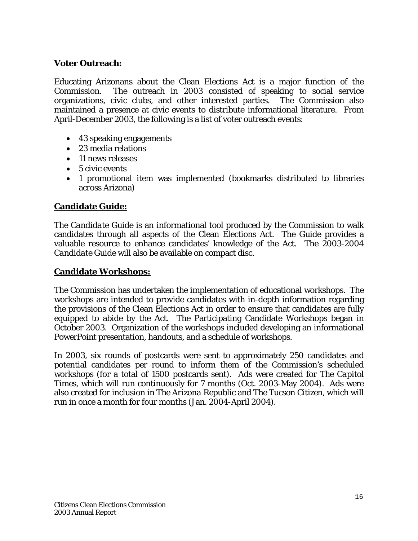## **Voter Outreach:**

Educating Arizonans about the Clean Elections Act is a major function of the Commission. The outreach in 2003 consisted of speaking to social service organizations, civic clubs, and other interested parties. The Commission also maintained a presence at civic events to distribute informational literature. From April-December 2003, the following is a list of voter outreach events:

- 43 speaking engagements
- 23 media relations
- 11 news releases
- 5 civic events
- 1 promotional item was implemented (bookmarks distributed to libraries across Arizona)

### **Candidate Guide:**

The *Candidate Guide* is an informational tool produced by the Commission to walk candidates through all aspects of the Clean Elections Act. The G*uide* provides a valuable resource to enhance candidates' knowledge of the Act. The 2003-2004 *Candidate Guide* will also be available on compact disc.

#### **Candidate Workshops:**

The Commission has undertaken the implementation of educational workshops. The workshops are intended to provide candidates with in-depth information regarding the provisions of the Clean Elections Act in order to ensure that candidates are fully equipped to abide by the Act. The Participating Candidate Workshops began in October 2003. Organization of the workshops included developing an informational PowerPoint presentation, handouts, and a schedule of workshops.

In 2003, six rounds of postcards were sent to approximately 250 candidates and potential candidates per round to inform them of the Commission's scheduled workshops (for a total of 1500 postcards sent). Ads were created for *The Capitol Times*, which will run continuously for 7 months (Oct. 2003-May 2004). Ads were also created for inclusion in *The Arizona Republic* and *The Tucson Citizen*, which will run in once a month for four months (Jan. 2004-April 2004).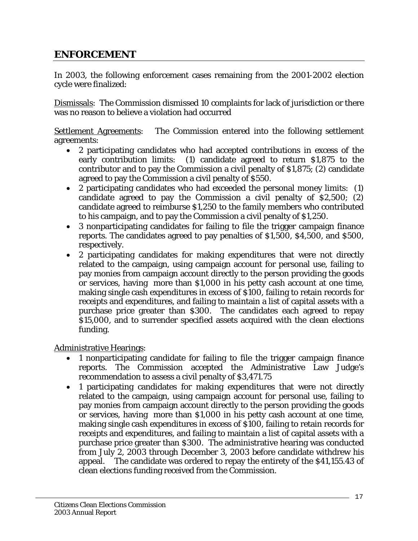## <span id="page-16-0"></span>**ENFORCEMENT**

In 2003, the following enforcement cases remaining from the 2001-2002 election cycle were finalized:

Dismissals: The Commission dismissed 10 complaints for lack of jurisdiction or there was no reason to believe a violation had occurred

Settlement Agreements: The Commission entered into the following settlement agreements:

- 2 participating candidates who had accepted contributions in excess of the early contribution limits: (1) candidate agreed to return \$1,875 to the contributor and to pay the Commission a civil penalty of \$1,875; (2) candidate agreed to pay the Commission a civil penalty of \$550.
- 2 participating candidates who had exceeded the personal money limits: (1) candidate agreed to pay the Commission a civil penalty of \$2,500; (2) candidate agreed to reimburse \$1,250 to the family members who contributed to his campaign, and to pay the Commission a civil penalty of \$1,250.
- 3 nonparticipating candidates for failing to file the trigger campaign finance reports. The candidates agreed to pay penalties of \$1,500, \$4,500, and \$500, respectively.
- 2 participating candidates for making expenditures that were not directly related to the campaign, using campaign account for personal use, failing to pay monies from campaign account directly to the person providing the goods or services, having more than \$1,000 in his petty cash account at one time, making single cash expenditures in excess of \$100, failing to retain records for receipts and expenditures, and failing to maintain a list of capital assets with a purchase price greater than \$300. The candidates each agreed to repay \$15,000, and to surrender specified assets acquired with the clean elections funding.

Administrative Hearings:

- 1 nonparticipating candidate for failing to file the trigger campaign finance reports. The Commission accepted the Administrative Law Judge's recommendation to assess a civil penalty of \$3,471.75
- 1 participating candidates for making expenditures that were not directly related to the campaign, using campaign account for personal use, failing to pay monies from campaign account directly to the person providing the goods or services, having more than \$1,000 in his petty cash account at one time, making single cash expenditures in excess of \$100, failing to retain records for receipts and expenditures, and failing to maintain a list of capital assets with a purchase price greater than \$300. The administrative hearing was conducted from July 2, 2003 through December 3, 2003 before candidate withdrew his appeal. The candidate was ordered to repay the entirety of the \$41,155.43 of clean elections funding received from the Commission.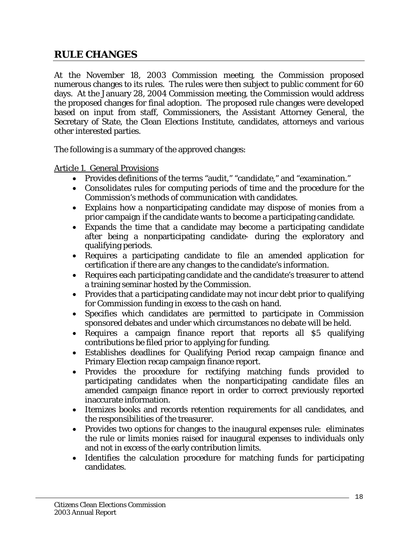## <span id="page-17-0"></span>**RULE CHANGES**

At the November 18, 2003 Commission meeting, the Commission proposed numerous changes to its rules. The rules were then subject to public comment for 60 days. At the January 28, 2004 Commission meeting, the Commission would address the proposed changes for final adoption. The proposed rule changes were developed based on input from staff, Commissioners, the Assistant Attorney General, the Secretary of State, the Clean Elections Institute, candidates, attorneys and various other interested parties.

The following is a summary of the approved changes:

Article 1. General Provisions

- Provides definitions of the terms "audit," "candidate," and "examination."
- Consolidates rules for computing periods of time and the procedure for the Commission's methods of communication with candidates.
- Explains how a nonparticipating candidate may dispose of monies from a prior campaign if the candidate wants to become a participating candidate.
- Expands the time that a candidate may become a participating candidate after being a nonparticipating candidate- during the exploratory and qualifying periods.
- Requires a participating candidate to file an amended application for certification if there are any changes to the candidate's information.
- Requires each participating candidate and the candidate's treasurer to attend a training seminar hosted by the Commission.
- Provides that a participating candidate may not incur debt prior to qualifying for Commission funding in excess to the cash on hand.
- Specifies which candidates are permitted to participate in Commission sponsored debates and under which circumstances no debate will be held.
- Requires a campaign finance report that reports all \$5 qualifying contributions be filed prior to applying for funding.
- Establishes deadlines for Qualifying Period recap campaign finance and Primary Election recap campaign finance report.
- Provides the procedure for rectifying matching funds provided to participating candidates when the nonparticipating candidate files an amended campaign finance report in order to correct previously reported inaccurate information.
- Itemizes books and records retention requirements for all candidates, and the responsibilities of the treasurer.
- Provides two options for changes to the inaugural expenses rule: eliminates the rule or limits monies raised for inaugural expenses to individuals only and not in excess of the early contribution limits.
- Identifies the calculation procedure for matching funds for participating candidates.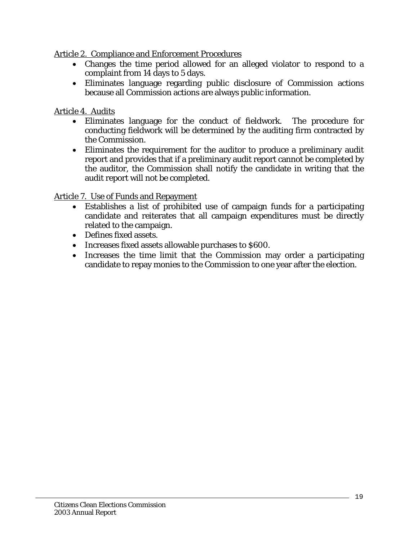Article 2. Compliance and Enforcement Procedures

- Changes the time period allowed for an alleged violator to respond to a complaint from 14 days to 5 days.
- Eliminates language regarding public disclosure of Commission actions because all Commission actions are always public information.

## Article 4. Audits

- Eliminates language for the conduct of fieldwork. The procedure for conducting fieldwork will be determined by the auditing firm contracted by the Commission.
- Eliminates the requirement for the auditor to produce a preliminary audit report and provides that if a preliminary audit report cannot be completed by the auditor, the Commission shall notify the candidate in writing that the audit report will not be completed.

Article 7. Use of Funds and Repayment

- Establishes a list of prohibited use of campaign funds for a participating candidate and reiterates that all campaign expenditures must be directly related to the campaign.
- Defines fixed assets.
- Increases fixed assets allowable purchases to \$600.
- Increases the time limit that the Commission may order a participating candidate to repay monies to the Commission to one year after the election.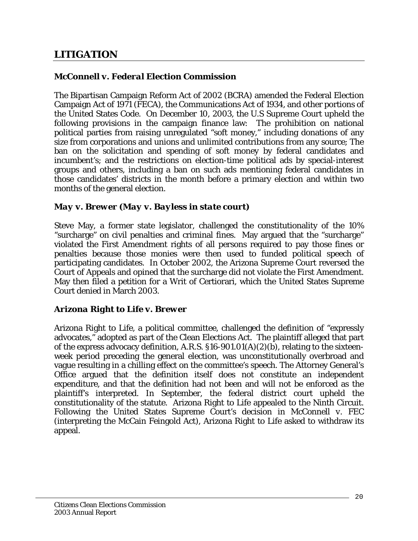# <span id="page-19-0"></span>**LITIGATION**

#### *McConnell v. Federal Election Commission*

The Bipartisan Campaign Reform Act of 2002 (BCRA) amended the Federal Election Campaign Act of 1971 (FECA), the Communications Act of 1934, and other portions of the United States Code. On December 10, 2003, the U.S Supreme Court upheld the following provisions in the campaign finance law: The prohibition on national political parties from raising unregulated "soft money," including donations of any size from corporations and unions and unlimited contributions from any source; The ban on the solicitation and spending of soft money by federal candidates and incumbent's; and the restrictions on election-time political ads by special-interest groups and others, including a ban on such ads mentioning federal candidates in those candidates' districts in the month before a primary election and within two months of the general election.

#### *May v. Brewer (May v. Bayless in state court)*

Steve May, a former state legislator, challenged the constitutionality of the 10% "surcharge" on civil penalties and criminal fines. May argued that the "surcharge" violated the First Amendment rights of all persons required to pay those fines or penalties because those monies were then used to funded political speech of participating candidates. In October 2002, the Arizona Supreme Court reversed the Court of Appeals and opined that the surcharge did not violate the First Amendment. May then filed a petition for a Writ of Certiorari, which the United States Supreme Court denied in March 2003.

#### *Arizona Right to Life v. Brewer*

Arizona Right to Life, a political committee, challenged the definition of "expressly advocates," adopted as part of the Clean Elections Act. The plaintiff alleged that part of the express advocacy definition, A.R.S. §16-901.01(A)(2)(b), relating to the sixteenweek period preceding the general election, was unconstitutionally overbroad and vague resulting in a chilling effect on the committee's speech. The Attorney General's Office argued that the definition itself does not constitute an independent expenditure, and that the definition had not been and will not be enforced as the plaintiff's interpreted. In September, the federal district court upheld the constitutionality of the statute. Arizona Right to Life appealed to the Ninth Circuit. Following the United States Supreme Court's decision in *McConnell v. FEC* (interpreting the McCain Feingold Act), Arizona Right to Life asked to withdraw its appeal.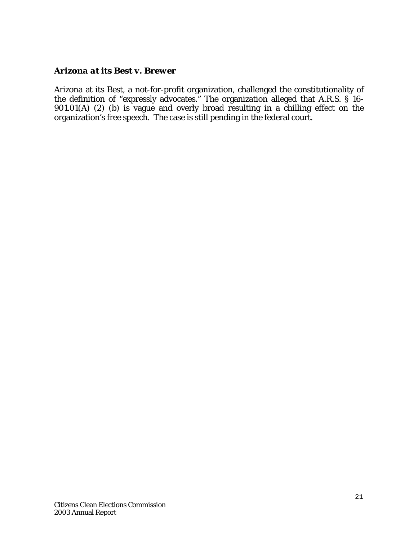#### *Arizona at its Best v. Brewer*

Arizona at its Best, a not-for-profit organization, challenged the constitutionality of the definition of "expressly advocates." The organization alleged that A.R.S. § 16- 901.01(A) (2) (b) is vague and overly broad resulting in a chilling effect on the organization's free speech. The case is still pending in the federal court.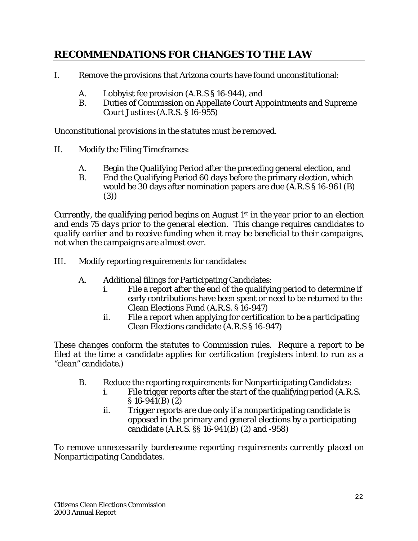# <span id="page-21-0"></span>**RECOMMENDATIONS FOR CHANGES TO THE LAW**

- I. Remove the provisions that Arizona courts have found unconstitutional:
	- A. Lobbyist fee provision (A.R.S § 16-944), and
	- B. Duties of Commission on Appellate Court Appointments and Supreme Court Justices (A.R.S. § 16-955)

*Unconstitutional provisions in the statutes must be removed.* 

- II. Modify the Filing Timeframes:
	- A. Begin the Qualifying Period after the preceding general election, and
	- B. End the Qualifying Period 60 days before the primary election, which would be 30 days after nomination papers are due (A.R.S § 16-961 (B) (3))

*Currently, the qualifying period begins on August 1st in the year prior to an election and ends 75 days prior to the general election. This change requires candidates to qualify earlier and to receive funding when it may be beneficial to their campaigns, not when the campaigns are almost over.* 

- III. Modify reporting requirements for candidates:
	- A. Additional filings for Participating Candidates:
		- i. File a report after the end of the qualifying period to determine if early contributions have been spent or need to be returned to the Clean Elections Fund (A.R.S. § 16-947)
		- ii. File a report when applying for certification to be a participating Clean Elections candidate (A.R.S § 16-947)

*These changes conform the statutes to Commission rules. Require a report to be filed at the time a candidate applies for certification (registers intent to run as a "clean" candidate.)* 

- B. Reduce the reporting requirements for Nonparticipating Candidates:
	- i. File trigger reports after the start of the qualifying period (A.R.S. § 16-941(B) (2)
	- ii. Trigger reports are due only if a nonparticipating candidate is opposed in the primary and general elections by a participating candidate (A.R.S. §§ 16-941(B) (2) and -958)

*To remove unnecessarily burdensome reporting requirements currently placed on Nonparticipating Candidates.*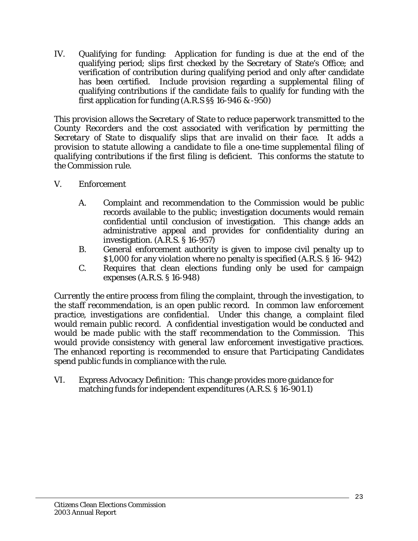IV. Qualifying for funding: Application for funding is due at the end of the qualifying period; slips first checked by the Secretary of State's Office; and verification of contribution during qualifying period and only after candidate has been certified. Include provision regarding a supplemental filing of qualifying contributions if the candidate fails to qualify for funding with the first application for funding (A.R.S §§ 16-946 & -950)

*This provision allows the Secretary of State to reduce paperwork transmitted to the County Recorders and the cost associated with verification by permitting the Secretary of State to disqualify slips that are invalid on their face. It adds a provision to statute allowing a candidate to file a one-time supplemental filing of qualifying contributions if the first filing is deficient. This conforms the statute to the Commission rule.* 

- V. Enforcement
	- A. Complaint and recommendation to the Commission would be public records available to the public; investigation documents would remain confidential until conclusion of investigation. This change adds an administrative appeal and provides for confidentiality during an investigation. (A.R.S. § 16-957)
	- B. General enforcement authority is given to impose civil penalty up to \$1,000 for any violation where no penalty is specified (A.R.S. § 16- 942)
	- C. Requires that clean elections funding only be used for campaign expenses (A.R.S. § 16-948)

*Currently the entire process from filing the complaint, through the investigation, to the staff recommendation, is an open public record. In common law enforcement practice, investigations are confidential. Under this change, a complaint filed would remain public record. A confidential investigation would be conducted and would be made public with the staff recommendation to the Commission. This would provide consistency with general law enforcement investigative practices. The enhanced reporting is recommended to ensure that Participating Candidates spend public funds in compliance with the rule.* 

VI. Express Advocacy Definition: This change provides more guidance for matching funds for independent expenditures (A.R.S. § 16-901.1)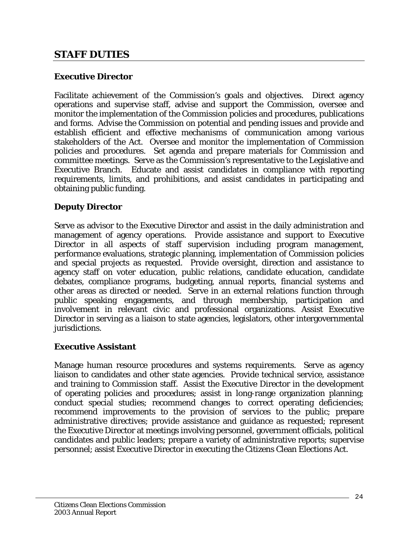## <span id="page-23-0"></span>**STAFF DUTIES**

### **Executive Director**

Facilitate achievement of the Commission's goals and objectives. Direct agency operations and supervise staff, advise and support the Commission, oversee and monitor the implementation of the Commission policies and procedures, publications and forms. Advise the Commission on potential and pending issues and provide and establish efficient and effective mechanisms of communication among various stakeholders of the Act. Oversee and monitor the implementation of Commission policies and procedures. Set agenda and prepare materials for Commission and committee meetings. Serve as the Commission's representative to the Legislative and Executive Branch. Educate and assist candidates in compliance with reporting requirements, limits, and prohibitions, and assist candidates in participating and obtaining public funding.

### **Deputy Director**

Serve as advisor to the Executive Director and assist in the daily administration and management of agency operations. Provide assistance and support to Executive Director in all aspects of staff supervision including program management, performance evaluations, strategic planning, implementation of Commission policies and special projects as requested. Provide oversight, direction and assistance to agency staff on voter education, public relations, candidate education, candidate debates, compliance programs, budgeting, annual reports, financial systems and other areas as directed or needed. Serve in an external relations function through public speaking engagements, and through membership, participation and involvement in relevant civic and professional organizations. Assist Executive Director in serving as a liaison to state agencies, legislators, other intergovernmental jurisdictions.

### **Executive Assistant**

Manage human resource procedures and systems requirements. Serve as agency liaison to candidates and other state agencies. Provide technical service, assistance and training to Commission staff. Assist the Executive Director in the development of operating policies and procedures; assist in long-range organization planning; conduct special studies; recommend changes to correct operating deficiencies; recommend improvements to the provision of services to the public; prepare administrative directives; provide assistance and guidance as requested; represent the Executive Director at meetings involving personnel, government officials, political candidates and public leaders; prepare a variety of administrative reports; supervise personnel; assist Executive Director in executing the Citizens Clean Elections Act.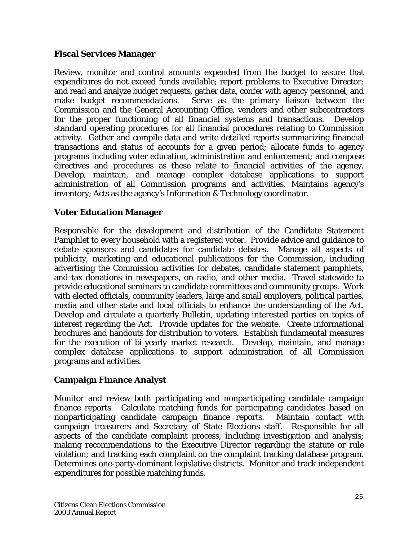#### **Fiscal Services Manager**

Review, monitor and control amounts expended from the budget to assure that expenditures do not exceed funds available; report problems to Executive Director; and read and analyze budget requests, gather data, confer with agency personnel, and make budget recommendations. Serve as the primary liaison between the Commission and the General Accounting Office, vendors and other subcontractors for the proper functioning of all financial systems and transactions. Develop standard operating procedures for all financial procedures relating to Commission activity. Gather and compile data and write detailed reports summarizing financial transactions and status of accounts for a given period; allocate funds to agency programs including voter education, administration and enforcement; and compose directives and procedures as these relate to financial activities of the agency. Develop, maintain, and manage complex database applications to support administration of all Commission programs and activities. Maintains agency's inventory; Acts as the agency's Information & Technology coordinator.

### **Voter Education Manager**

Responsible for the development and distribution of the Candidate Statement Pamphlet to every household with a registered voter. Provide advice and guidance to debate sponsors and candidates for candidate debates. Manage all aspects of publicity, marketing and educational publications for the Commission, including advertising the Commission activities for debates, candidate statement pamphlets, and tax donations in newspapers, on radio, and other media. Travel statewide to provide educational seminars to candidate committees and community groups. Work with elected officials, community leaders, large and small employers, political parties, media and other state and local officials to enhance the understanding of the Act. Develop and circulate a quarterly *Bulletin*, updating interested parties on topics of interest regarding the Act. Provide updates for the website. Create informational brochures and handouts for distribution to voters. Establish fundamental measures for the execution of bi-yearly market research. Develop, maintain, and manage complex database applications to support administration of all Commission programs and activities.

## **Campaign Finance Analyst**

Monitor and review both participating and nonparticipating candidate campaign finance reports. Calculate matching funds for participating candidates based on nonparticipating candidate campaign finance reports. Maintain contact with campaign treasurers and Secretary of State Elections staff. Responsible for all aspects of the candidate complaint process, including investigation and analysis; making recommendations to the Executive Director regarding the statute or rule violation; and tracking each complaint on the complaint tracking database program. Determines one-party-dominant legislative districts. Monitor and track independent expenditures for possible matching funds.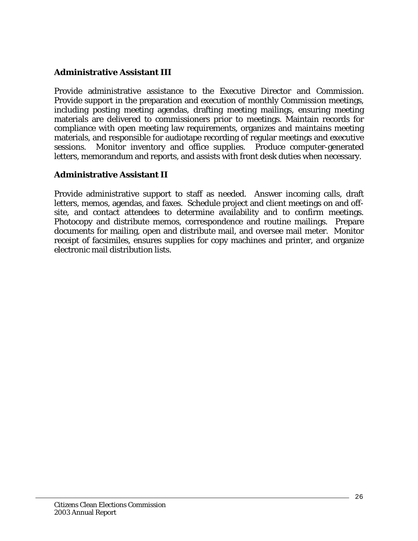#### **Administrative Assistant III**

Provide administrative assistance to the Executive Director and Commission. Provide support in the preparation and execution of monthly Commission meetings, including posting meeting agendas, drafting meeting mailings, ensuring meeting materials are delivered to commissioners prior to meetings. Maintain records for compliance with open meeting law requirements, organizes and maintains meeting materials, and responsible for audiotape recording of regular meetings and executive sessions. Monitor inventory and office supplies. Produce computer-generated letters, memorandum and reports, and assists with front desk duties when necessary.

#### **Administrative Assistant II**

Provide administrative support to staff as needed. Answer incoming calls, draft letters, memos, agendas, and faxes. Schedule project and client meetings on and offsite, and contact attendees to determine availability and to confirm meetings. Photocopy and distribute memos, correspondence and routine mailings. Prepare documents for mailing, open and distribute mail, and oversee mail meter. Monitor receipt of facsimiles, ensures supplies for copy machines and printer, and organize electronic mail distribution lists.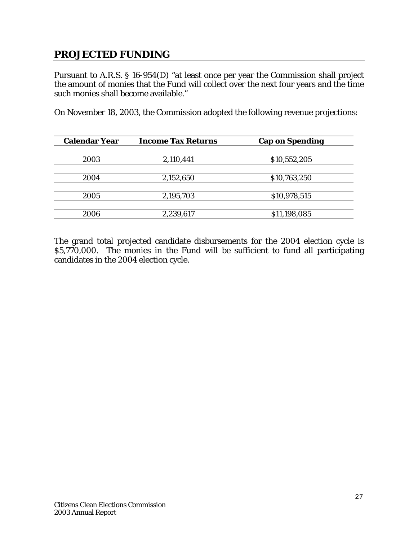# <span id="page-26-0"></span>**PROJECTED FUNDING**

Pursuant to A.R.S. § 16-954(D) "at least once per year the Commission shall project the amount of monies that the Fund will collect over the next four years and the time such monies shall become available."

On November 18, 2003, the Commission adopted the following revenue projections:

| <b>Calendar Year</b> | <b>Income Tax Returns</b> | <b>Cap on Spending</b> |
|----------------------|---------------------------|------------------------|
|                      |                           |                        |
| 2003                 | 2,110,441                 | \$10,552,205           |
| 2004                 | 2,152,650                 | \$10,763,250           |
|                      |                           |                        |
| 2005                 | 2,195,703                 | \$10,978,515           |
|                      |                           |                        |
| 2006                 | 2,239,617                 | \$11,198,085           |

The grand total projected candidate disbursements for the 2004 election cycle is \$5,770,000. The monies in the Fund will be sufficient to fund all participating candidates in the 2004 election cycle.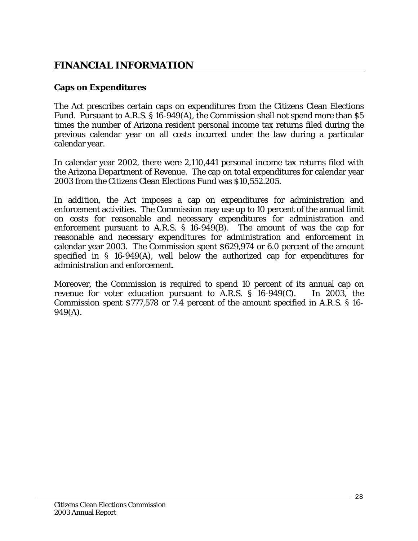# <span id="page-27-0"></span>**FINANCIAL INFORMATION**

#### **Caps on Expenditures**

The Act prescribes certain caps on expenditures from the Citizens Clean Elections Fund. Pursuant to A.R.S. § 16-949(A), the Commission shall not spend more than \$5 times the number of Arizona resident personal income tax returns filed during the previous calendar year on all costs incurred under the law during a particular calendar year.

In calendar year 2002, there were 2,110,441 personal income tax returns filed with the Arizona Department of Revenue. The cap on total expenditures for calendar year 2003 from the Citizens Clean Elections Fund was \$10,552.205.

In addition, the Act imposes a cap on expenditures for administration and enforcement activities. The Commission may use up to 10 percent of the annual limit on costs for reasonable and necessary expenditures for administration and enforcement pursuant to A.R.S. § 16-949(B). The amount of was the cap for reasonable and necessary expenditures for administration and enforcement in calendar year 2003. The Commission spent \$629,974 or 6.0 percent of the amount specified in § 16-949(A), well below the authorized cap for expenditures for administration and enforcement.

Moreover, the Commission is required to spend 10 percent of its annual cap on revenue for voter education pursuant to A.R.S. § 16-949(C). In 2003, the Commission spent \$777,578 or 7.4 percent of the amount specified in A.R.S. § 16- 949(A).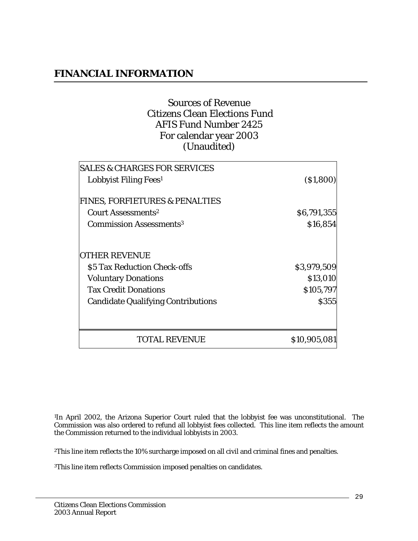## **FINANCIAL INFORMATION**

## Sources of Revenue Citizens Clean Elections Fund AFIS Fund Number 2425 For calendar year 2003 (Unaudited)

| <b>SALES &amp; CHARGES FOR SERVICES</b><br>Lobbyist Filing Fees <sup>1</sup> | (S1, 800)    |
|------------------------------------------------------------------------------|--------------|
| <b>FINES, FORFIETURES &amp; PENALTIES</b><br>Court Assessments <sup>2</sup>  | \$6,791,355  |
| <b>Commission Assessments<sup>3</sup></b>                                    | \$16,854     |
| <b>OTHER REVENUE</b>                                                         |              |
| \$5 Tax Reduction Check-offs                                                 | \$3,979,509  |
| <b>Voluntary Donations</b>                                                   | \$13,010     |
| <b>Tax Credit Donations</b>                                                  | \$105,797    |
| <b>Candidate Qualifying Contributions</b>                                    | <b>S355</b>  |
|                                                                              |              |
| <b>TOTAL REVENUE</b>                                                         | \$10,905,081 |

1In April 2002, the Arizona Superior Court ruled that the lobbyist fee was unconstitutional. The Commission was also ordered to refund all lobbyist fees collected. This line item reflects the amount the Commission returned to the individual lobbyists in 2003.

2This line item reflects the 10% surcharge imposed on all civil and criminal fines and penalties.

3This line item reflects Commission imposed penalties on candidates.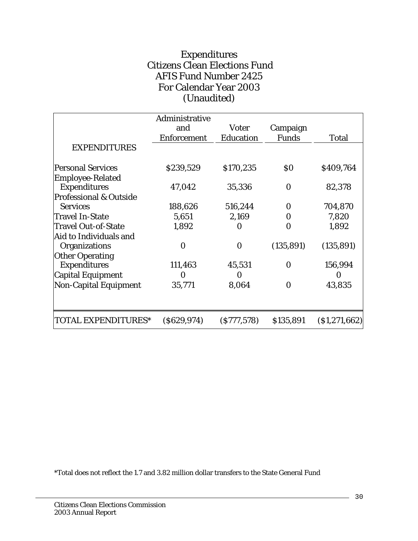## Expenditures Citizens Clean Elections Fund AFIS Fund Number 2425 For Calendar Year 2003 (Unaudited)

|                                   | Administrative     |                   |                   |                |
|-----------------------------------|--------------------|-------------------|-------------------|----------------|
|                                   | and                | <b>Voter</b>      | Campaign          |                |
|                                   | <b>Enforcement</b> | <b>Education</b>  | <b>Funds</b>      | <b>Total</b>   |
| <b>EXPENDITURES</b>               |                    |                   |                   |                |
| <b>Personal Services</b>          | \$239,529          | \$170,235         | $\boldsymbol{S0}$ | \$409,764      |
| <b>Employee-Related</b>           |                    |                   |                   |                |
| <b>Expenditures</b>               | 47,042             | 35,336            | $\mathbf 0$       | 82,378         |
| <b>Professional &amp; Outside</b> |                    |                   |                   |                |
| <b>Services</b>                   | 188,626            | 516,244           | 0                 | 704,870        |
| <b>Travel In-State</b>            | 5,651              | 2,169             | $\Omega$          | 7,820          |
| Travel Out-of-State               | 1,892              | $\Omega$          | 0                 | 1,892          |
| Aid to Individuals and            |                    |                   |                   |                |
| <b>Organizations</b>              | $\mathbf 0$        | $\bf{0}$          | (135, 891)        | (135, 891)     |
| <b>Other Operating</b>            |                    |                   |                   |                |
| <b>Expenditures</b>               | 111,463            | 45,531            | 0                 | 156,994        |
| <b>Capital Equipment</b>          | $\Omega$           | $\mathbf{0}$      |                   | 0              |
| <b>Non-Capital Equipment</b>      | 35,771             | 8,064             | 0                 | 43,835         |
| <b>TOTAL EXPENDITURES*</b>        | (S629, 974)        | $($ \$777,578 $)$ | \$135,891         | ( \$1,271,662) |

\*Total does not reflect the 1.7 and 3.82 million dollar transfers to the State General Fund